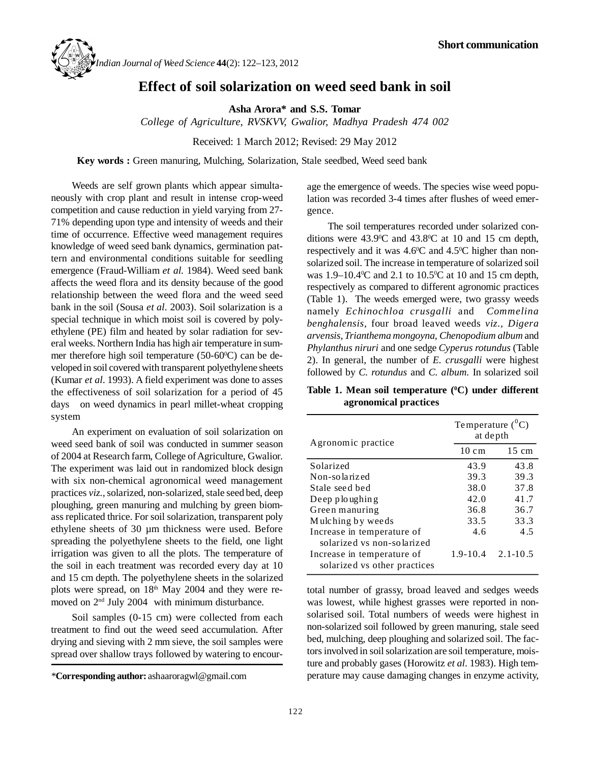

## **Effect of soil solarization on weed seed bank in soil**

**Asha Arora\* and S.S. Tomar**

*College of Agriculture, RVSKVV, Gwalior, Madhya Pradesh 474 002*

Received: 1 March 2012; Revised: 29 May 2012

**Key words :** Green manuring, Mulching, Solarization, Stale seedbed, Weed seed bank

Weeds are self grown plants which appear simultaneously with crop plant and result in intense crop-weed competition and cause reduction in yield varying from 27- 71% depending upon type and intensity of weeds and their time of occurrence. Effective weed management requires knowledge of weed seed bank dynamics, germination pattern and environmental conditions suitable for seedling emergence (Fraud-William *et al.* 1984). Weed seed bank affects the weed flora and its density because of the good relationship between the weed flora and the weed seed bank in the soil (Sousa *et al*. 2003). Soil solarization is a special technique in which moist soil is covered by polyethylene (PE) film and heated by solar radiation for several weeks. Northern India has high air temperature in summer therefore high soil temperature  $(50-60^{\circ}\text{C})$  can be developed in soil covered with transparent polyethylene sheets (Kumar *et al*. 1993). A field experiment was done to asses the effectiveness of soil solarization for a period of 45 days on weed dynamics in pearl millet-wheat cropping system

An experiment on evaluation of soil solarization on weed seed bank of soil was conducted in summer season of 2004 at Research farm, College of Agriculture, Gwalior. The experiment was laid out in randomized block design with six non-chemical agronomical weed management practices *viz.,*solarized, non-solarized, stale seed bed, deep ploughing, green manuring and mulching by green biomass replicated thrice. For soil solarization, transparent poly ethylene sheets of 30 µm thickness were used. Before spreading the polyethylene sheets to the field, one light irrigation was given to all the plots. The temperature of the soil in each treatment was recorded every day at 10 and 15 cm depth. The polyethylene sheets in the solarized plots were spread, on 18<sup>th</sup> May 2004 and they were removed on 2nd July 2004 with minimum disturbance.

Soil samples (0-15 cm) were collected from each treatment to find out the weed seed accumulation. After drying and sieving with 2 mm sieve, the soil samples were spread over shallow trays followed by watering to encourage the emergence of weeds. The species wise weed population was recorded 3-4 times after flushes of weed emergence.

The soil temperatures recorded under solarized conditions were  $43.9^{\circ}$ C and  $43.8^{\circ}$ C at 10 and 15 cm depth, respectively and it was  $4.6^{\circ}$ C and  $4.5^{\circ}$ C higher than nonsolarized soil. The increase in temperature of solarized soil was 1.9–10.4°C and 2.1 to 10.5°C at 10 and 15 cm depth, respectively as compared to different agronomic practices (Table 1). The weeds emerged were, two grassy weeds namely *Echinochloa crusgalli* and *Commelina benghalensis,* four broad leaved weeds *viz., Digera arvensis, Trianthema mongoyna, Chenopodium album* and *Phylanthus niruri* and one sedge *Cyperus rotundus* (Table 2). In general, the number of *E. crusgalli* were highest followed by *C. rotundus* and *C. album.* In solarized soil

**Table 1. Mean soil temperature (0C) under different agronomical practices**

| Agronomic practice                                                                       | Temperature $(^0C)$<br>at depth |                 |  |  |
|------------------------------------------------------------------------------------------|---------------------------------|-----------------|--|--|
|                                                                                          | $10 \text{ cm}$                 | $15 \text{ cm}$ |  |  |
| Solarized                                                                                | 43.9                            | 43.8            |  |  |
| Non-solarized                                                                            | 39.3                            | 39.3            |  |  |
| Stale seed bed                                                                           | 38.0                            | 37.8            |  |  |
| Deep ploughing                                                                           | 42.0                            | 41.7            |  |  |
| Green manuring                                                                           | 36.8                            | 36.7            |  |  |
| Mulching by weeds                                                                        | 33.5                            | 33.3            |  |  |
| Increase in temperature of                                                               | 4.6                             | 4.5             |  |  |
| solarized vs non-solarized<br>Increase in temperature of<br>solarized vs other practices | $1.9 - 10.4$                    | $2.1 - 10.5$    |  |  |

total number of grassy, broad leaved and sedges weeds was lowest, while highest grasses were reported in nonsolarised soil. Total numbers of weeds were highest in non-solarized soil followed by green manuring, stale seed bed, mulching, deep ploughing and solarized soil. The factors involved in soil solarization are soil temperature, moisture and probably gases (Horowitz *et al*. 1983). High temperature may cause damaging changes in enzyme activity,

*<sup>\*</sup>***Corresponding author:** ashaaroragwl@gmail.com